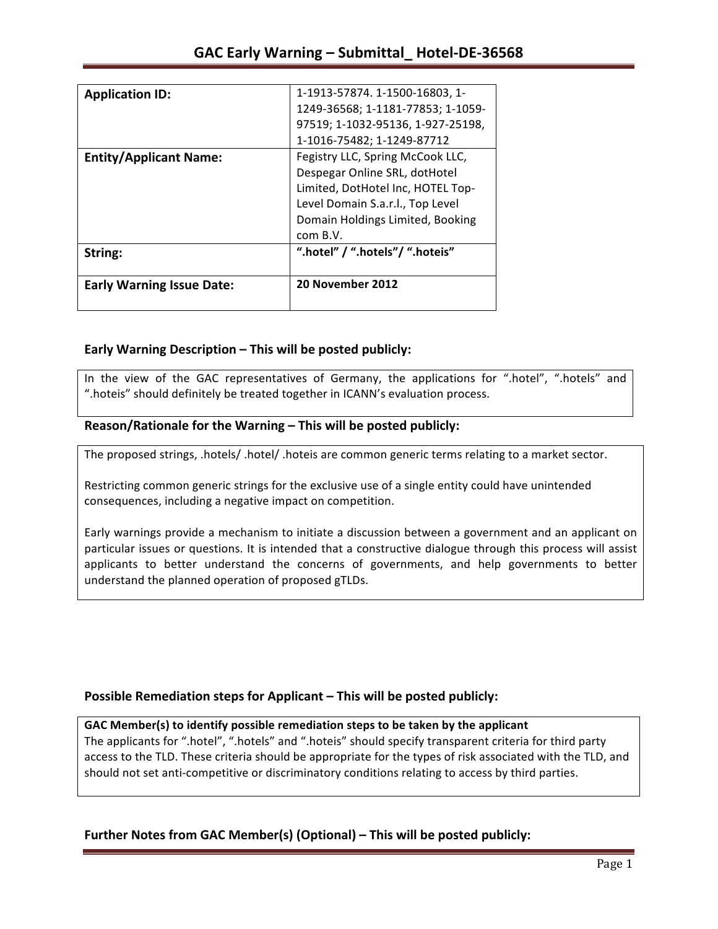|                                  | 1-1913-57874. 1-1500-16803, 1-    |
|----------------------------------|-----------------------------------|
| <b>Application ID:</b>           |                                   |
|                                  | 1249-36568; 1-1181-77853; 1-1059- |
|                                  | 97519; 1-1032-95136, 1-927-25198, |
|                                  | 1-1016-75482; 1-1249-87712        |
| <b>Entity/Applicant Name:</b>    | Fegistry LLC, Spring McCook LLC,  |
|                                  | Despegar Online SRL, dotHotel     |
|                                  | Limited, DotHotel Inc, HOTEL Top- |
|                                  | Level Domain S.a.r.l., Top Level  |
|                                  | Domain Holdings Limited, Booking  |
|                                  | com B.V.                          |
| String:                          | ".hotel" / ".hotels"/ ".hoteis"   |
| <b>Early Warning Issue Date:</b> | 20 November 2012                  |
|                                  |                                   |

## **Early Warning Description – This will be posted publicly:**

In the view of the GAC representatives of Germany, the applications for ".hotel", ".hotels" and ".hoteis" should definitely be treated together in ICANN's evaluation process.

## Reason/Rationale for the Warning – This will be posted publicly:

The proposed strings, .hotels/ .hotel/ .hoteis are common generic terms relating to a market sector.

Restricting common generic strings for the exclusive use of a single entity could have unintended consequences, including a negative impact on competition.

Early warnings provide a mechanism to initiate a discussion between a government and an applicant on particular issues or questions. It is intended that a constructive dialogue through this process will assist applicants to better understand the concerns of governments, and help governments to better understand the planned operation of proposed gTLDs.

### **Possible Remediation steps for Applicant – This will be posted publicly:**

### GAC Member(s) to identify possible remediation steps to be taken by the applicant

The applicants for ".hotel", ".hotels" and ".hoteis" should specify transparent criteria for third party access to the TLD. These criteria should be appropriate for the types of risk associated with the TLD, and should not set anti-competitive or discriminatory conditions relating to access by third parties.

# **Further Notes from GAC Member(s) (Optional)** – This will be posted publicly: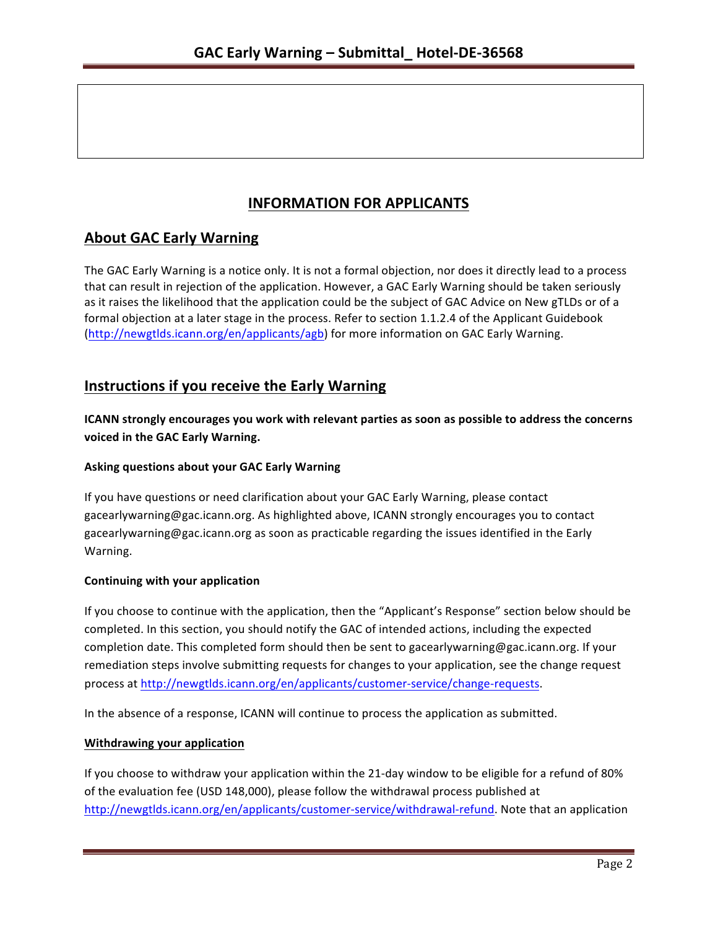# **INFORMATION FOR APPLICANTS**

# **About GAC Early Warning**

The GAC Early Warning is a notice only. It is not a formal objection, nor does it directly lead to a process that can result in rejection of the application. However, a GAC Early Warning should be taken seriously as it raises the likelihood that the application could be the subject of GAC Advice on New gTLDs or of a formal objection at a later stage in the process. Refer to section 1.1.2.4 of the Applicant Guidebook (http://newgtlds.icann.org/en/applicants/agb) for more information on GAC Early Warning.

# **Instructions if you receive the Early Warning**

**ICANN** strongly encourages you work with relevant parties as soon as possible to address the concerns **voiced in the GAC Early Warning.** 

#### **Asking questions about your GAC Early Warning**

If you have questions or need clarification about your GAC Early Warning, please contact gacearlywarning@gac.icann.org. As highlighted above, ICANN strongly encourages you to contact gacearlywarning@gac.icann.org as soon as practicable regarding the issues identified in the Early Warning. 

#### **Continuing with your application**

If you choose to continue with the application, then the "Applicant's Response" section below should be completed. In this section, you should notify the GAC of intended actions, including the expected completion date. This completed form should then be sent to gacearlywarning@gac.icann.org. If your remediation steps involve submitting requests for changes to your application, see the change request process at http://newgtlds.icann.org/en/applicants/customer-service/change-requests.

In the absence of a response, ICANN will continue to process the application as submitted.

#### **Withdrawing your application**

If you choose to withdraw your application within the 21-day window to be eligible for a refund of 80% of the evaluation fee (USD 148,000), please follow the withdrawal process published at http://newgtlds.icann.org/en/applicants/customer-service/withdrawal-refund. Note that an application